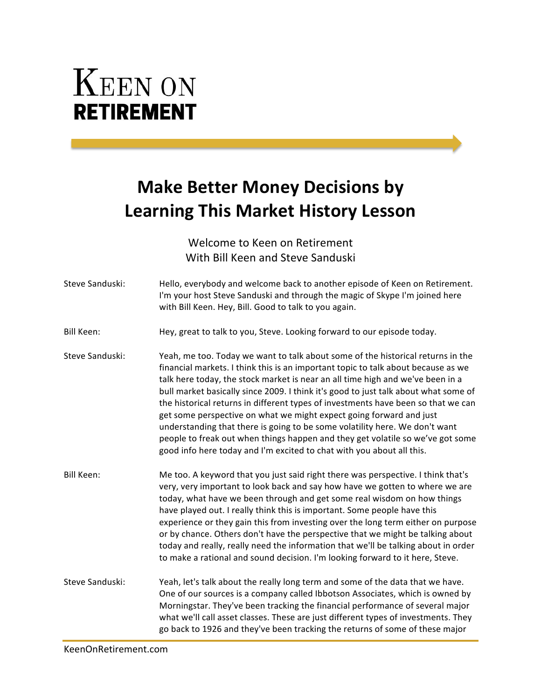## **KEEN ON RETIREMENT**

## **Make Better Money Decisions by Learning This Market History Lesson**

Welcome to Keen on Retirement With Bill Keen and Steve Sanduski

| Steve Sanduski:   | Hello, everybody and welcome back to another episode of Keen on Retirement.<br>I'm your host Steve Sanduski and through the magic of Skype I'm joined here<br>with Bill Keen. Hey, Bill. Good to talk to you again.                                                                                                                                                                                                                                                                                                                                                                                                                                                                                                                                 |
|-------------------|-----------------------------------------------------------------------------------------------------------------------------------------------------------------------------------------------------------------------------------------------------------------------------------------------------------------------------------------------------------------------------------------------------------------------------------------------------------------------------------------------------------------------------------------------------------------------------------------------------------------------------------------------------------------------------------------------------------------------------------------------------|
| <b>Bill Keen:</b> | Hey, great to talk to you, Steve. Looking forward to our episode today.                                                                                                                                                                                                                                                                                                                                                                                                                                                                                                                                                                                                                                                                             |
| Steve Sanduski:   | Yeah, me too. Today we want to talk about some of the historical returns in the<br>financial markets. I think this is an important topic to talk about because as we<br>talk here today, the stock market is near an all time high and we've been in a<br>bull market basically since 2009. I think it's good to just talk about what some of<br>the historical returns in different types of investments have been so that we can<br>get some perspective on what we might expect going forward and just<br>understanding that there is going to be some volatility here. We don't want<br>people to freak out when things happen and they get volatile so we've got some<br>good info here today and I'm excited to chat with you about all this. |
| Bill Keen:        | Me too. A keyword that you just said right there was perspective. I think that's<br>very, very important to look back and say how have we gotten to where we are<br>today, what have we been through and get some real wisdom on how things<br>have played out. I really think this is important. Some people have this<br>experience or they gain this from investing over the long term either on purpose<br>or by chance. Others don't have the perspective that we might be talking about<br>today and really, really need the information that we'll be talking about in order<br>to make a rational and sound decision. I'm looking forward to it here, Steve.                                                                                |
| Steve Sanduski:   | Yeah, let's talk about the really long term and some of the data that we have.<br>One of our sources is a company called Ibbotson Associates, which is owned by<br>Morningstar. They've been tracking the financial performance of several major<br>what we'll call asset classes. These are just different types of investments. They<br>go back to 1926 and they've been tracking the returns of some of these major                                                                                                                                                                                                                                                                                                                              |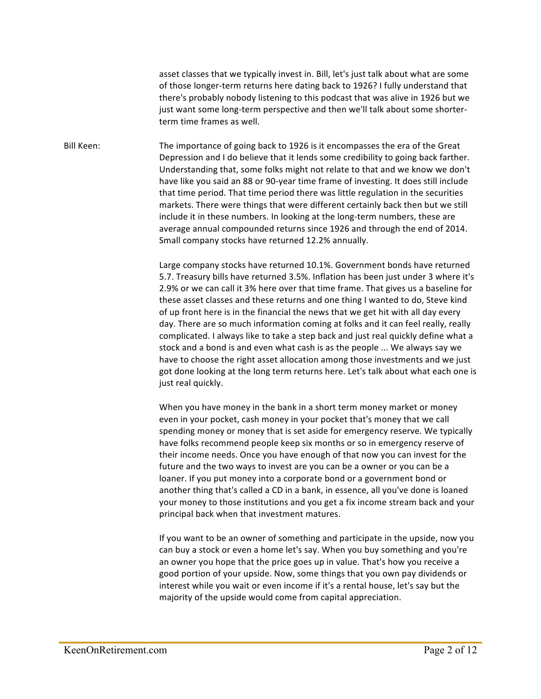asset classes that we typically invest in. Bill, let's just talk about what are some of those longer-term returns here dating back to 1926? I fully understand that there's probably nobody listening to this podcast that was alive in 1926 but we just want some long-term perspective and then we'll talk about some shorterterm time frames as well.

Bill Keen: The importance of going back to 1926 is it encompasses the era of the Great Depression and I do believe that it lends some credibility to going back farther. Understanding that, some folks might not relate to that and we know we don't have like you said an 88 or 90-year time frame of investing. It does still include that time period. That time period there was little regulation in the securities markets. There were things that were different certainly back then but we still include it in these numbers. In looking at the long-term numbers, these are average annual compounded returns since 1926 and through the end of 2014. Small company stocks have returned 12.2% annually.

> Large company stocks have returned 10.1%. Government bonds have returned 5.7. Treasury bills have returned 3.5%. Inflation has been just under 3 where it's 2.9% or we can call it 3% here over that time frame. That gives us a baseline for these asset classes and these returns and one thing I wanted to do, Steve kind of up front here is in the financial the news that we get hit with all day every day. There are so much information coming at folks and it can feel really, really complicated. I always like to take a step back and just real quickly define what a stock and a bond is and even what cash is as the people ... We always say we have to choose the right asset allocation among those investments and we just got done looking at the long term returns here. Let's talk about what each one is just real quickly.

> When you have money in the bank in a short term money market or money even in your pocket, cash money in your pocket that's money that we call spending money or money that is set aside for emergency reserve. We typically have folks recommend people keep six months or so in emergency reserve of their income needs. Once you have enough of that now you can invest for the future and the two ways to invest are you can be a owner or you can be a loaner. If you put money into a corporate bond or a government bond or another thing that's called a CD in a bank, in essence, all you've done is loaned your money to those institutions and you get a fix income stream back and your principal back when that investment matures.

> If you want to be an owner of something and participate in the upside, now you can buy a stock or even a home let's say. When you buy something and you're an owner you hope that the price goes up in value. That's how you receive a good portion of your upside. Now, some things that you own pay dividends or interest while you wait or even income if it's a rental house, let's say but the majority of the upside would come from capital appreciation.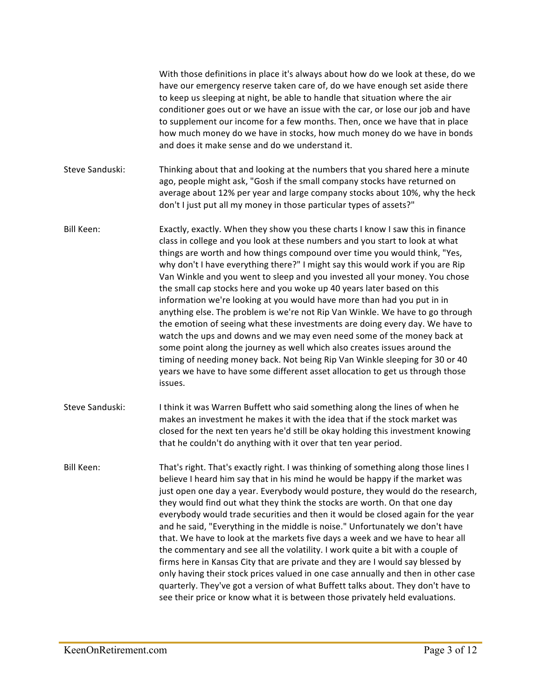With those definitions in place it's always about how do we look at these, do we have our emergency reserve taken care of, do we have enough set aside there to keep us sleeping at night, be able to handle that situation where the air conditioner goes out or we have an issue with the car, or lose our job and have to supplement our income for a few months. Then, once we have that in place how much money do we have in stocks, how much money do we have in bonds and does it make sense and do we understand it.

Steve Sanduski: Thinking about that and looking at the numbers that you shared here a minute ago, people might ask, "Gosh if the small company stocks have returned on average about 12% per year and large company stocks about 10%, why the heck don't I just put all my money in those particular types of assets?"

Bill Keen: Exactly, exactly. When they show you these charts I know I saw this in finance class in college and you look at these numbers and you start to look at what things are worth and how things compound over time you would think, "Yes, why don't I have everything there?" I might say this would work if you are Rip Van Winkle and you went to sleep and you invested all your money. You chose the small cap stocks here and you woke up 40 years later based on this information we're looking at you would have more than had you put in in anything else. The problem is we're not Rip Van Winkle. We have to go through the emotion of seeing what these investments are doing every day. We have to watch the ups and downs and we may even need some of the money back at some point along the journey as well which also creates issues around the timing of needing money back. Not being Rip Van Winkle sleeping for 30 or 40 years we have to have some different asset allocation to get us through those issues. 

Steve Sanduski: I think it was Warren Buffett who said something along the lines of when he makes an investment he makes it with the idea that if the stock market was closed for the next ten years he'd still be okay holding this investment knowing that he couldn't do anything with it over that ten year period.

Bill Keen: That's right. That's exactly right. I was thinking of something along those lines I believe I heard him say that in his mind he would be happy if the market was just open one day a year. Everybody would posture, they would do the research, they would find out what they think the stocks are worth. On that one day everybody would trade securities and then it would be closed again for the year and he said, "Everything in the middle is noise." Unfortunately we don't have that. We have to look at the markets five days a week and we have to hear all the commentary and see all the volatility. I work quite a bit with a couple of firms here in Kansas City that are private and they are I would say blessed by only having their stock prices valued in one case annually and then in other case quarterly. They've got a version of what Buffett talks about. They don't have to see their price or know what it is between those privately held evaluations.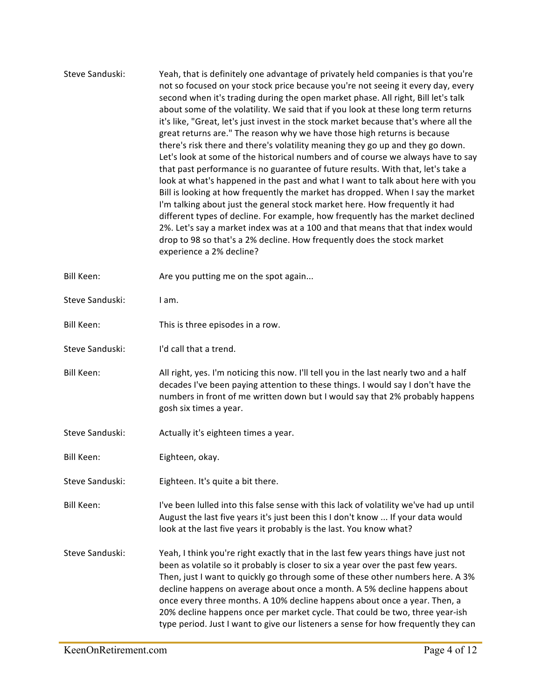| Steve Sanduski: | Yeah, that is definitely one advantage of privately held companies is that you're<br>not so focused on your stock price because you're not seeing it every day, every<br>second when it's trading during the open market phase. All right, Bill let's talk<br>about some of the volatility. We said that if you look at these long term returns<br>it's like, "Great, let's just invest in the stock market because that's where all the<br>great returns are." The reason why we have those high returns is because<br>there's risk there and there's volatility meaning they go up and they go down.<br>Let's look at some of the historical numbers and of course we always have to say<br>that past performance is no guarantee of future results. With that, let's take a<br>look at what's happened in the past and what I want to talk about here with you<br>Bill is looking at how frequently the market has dropped. When I say the market<br>I'm talking about just the general stock market here. How frequently it had<br>different types of decline. For example, how frequently has the market declined<br>2%. Let's say a market index was at a 100 and that means that that index would<br>drop to 98 so that's a 2% decline. How frequently does the stock market<br>experience a 2% decline? |
|-----------------|-----------------------------------------------------------------------------------------------------------------------------------------------------------------------------------------------------------------------------------------------------------------------------------------------------------------------------------------------------------------------------------------------------------------------------------------------------------------------------------------------------------------------------------------------------------------------------------------------------------------------------------------------------------------------------------------------------------------------------------------------------------------------------------------------------------------------------------------------------------------------------------------------------------------------------------------------------------------------------------------------------------------------------------------------------------------------------------------------------------------------------------------------------------------------------------------------------------------------------------------------------------------------------------------------------------------|
| Bill Keen:      | Are you putting me on the spot again                                                                                                                                                                                                                                                                                                                                                                                                                                                                                                                                                                                                                                                                                                                                                                                                                                                                                                                                                                                                                                                                                                                                                                                                                                                                            |
| Steve Sanduski: | I am.                                                                                                                                                                                                                                                                                                                                                                                                                                                                                                                                                                                                                                                                                                                                                                                                                                                                                                                                                                                                                                                                                                                                                                                                                                                                                                           |
| Bill Keen:      | This is three episodes in a row.                                                                                                                                                                                                                                                                                                                                                                                                                                                                                                                                                                                                                                                                                                                                                                                                                                                                                                                                                                                                                                                                                                                                                                                                                                                                                |
| Steve Sanduski: | I'd call that a trend.                                                                                                                                                                                                                                                                                                                                                                                                                                                                                                                                                                                                                                                                                                                                                                                                                                                                                                                                                                                                                                                                                                                                                                                                                                                                                          |
| Bill Keen:      | All right, yes. I'm noticing this now. I'll tell you in the last nearly two and a half<br>decades I've been paying attention to these things. I would say I don't have the<br>numbers in front of me written down but I would say that 2% probably happens<br>gosh six times a year.                                                                                                                                                                                                                                                                                                                                                                                                                                                                                                                                                                                                                                                                                                                                                                                                                                                                                                                                                                                                                            |
| Steve Sanduski: | Actually it's eighteen times a year.                                                                                                                                                                                                                                                                                                                                                                                                                                                                                                                                                                                                                                                                                                                                                                                                                                                                                                                                                                                                                                                                                                                                                                                                                                                                            |
| Bill Keen:      | Eighteen, okay.                                                                                                                                                                                                                                                                                                                                                                                                                                                                                                                                                                                                                                                                                                                                                                                                                                                                                                                                                                                                                                                                                                                                                                                                                                                                                                 |
| Steve Sanduski: | Eighteen. It's quite a bit there.                                                                                                                                                                                                                                                                                                                                                                                                                                                                                                                                                                                                                                                                                                                                                                                                                                                                                                                                                                                                                                                                                                                                                                                                                                                                               |
| Bill Keen:      | I've been lulled into this false sense with this lack of volatility we've had up until<br>August the last five years it's just been this I don't know  If your data would<br>look at the last five years it probably is the last. You know what?                                                                                                                                                                                                                                                                                                                                                                                                                                                                                                                                                                                                                                                                                                                                                                                                                                                                                                                                                                                                                                                                |
| Steve Sanduski: | Yeah, I think you're right exactly that in the last few years things have just not<br>been as volatile so it probably is closer to six a year over the past few years.<br>Then, just I want to quickly go through some of these other numbers here. A 3%<br>decline happens on average about once a month. A 5% decline happens about<br>once every three months. A 10% decline happens about once a year. Then, a<br>20% decline happens once per market cycle. That could be two, three year-ish<br>type period. Just I want to give our listeners a sense for how frequently they can                                                                                                                                                                                                                                                                                                                                                                                                                                                                                                                                                                                                                                                                                                                        |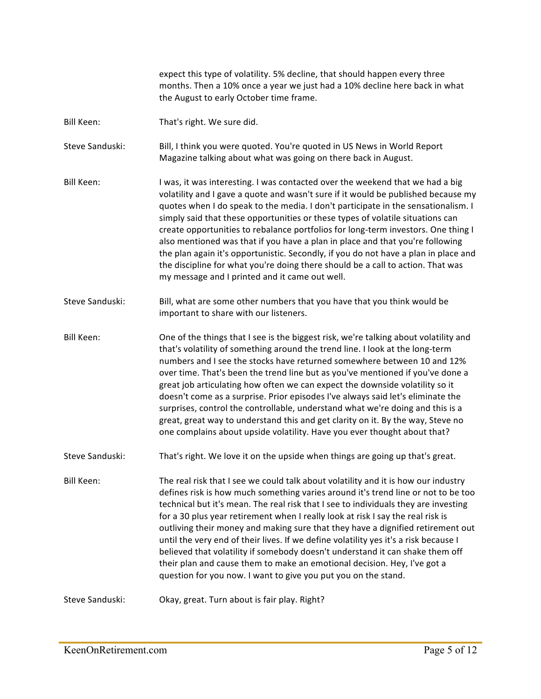expect this type of volatility. 5% decline, that should happen every three months. Then a 10% once a year we just had a 10% decline here back in what the August to early October time frame. Bill Keen: That's right. We sure did. Steve Sanduski: Bill, I think you were quoted. You're quoted in US News in World Report Magazine talking about what was going on there back in August. Bill Keen: I was, it was interesting. I was contacted over the weekend that we had a big volatility and I gave a quote and wasn't sure if it would be published because my quotes when I do speak to the media. I don't participate in the sensationalism. I simply said that these opportunities or these types of volatile situations can create opportunities to rebalance portfolios for long-term investors. One thing I also mentioned was that if you have a plan in place and that you're following the plan again it's opportunistic. Secondly, if you do not have a plan in place and the discipline for what you're doing there should be a call to action. That was my message and I printed and it came out well. Steve Sanduski: Bill, what are some other numbers that you have that you think would be important to share with our listeners. Bill Keen: One of the things that I see is the biggest risk, we're talking about volatility and that's volatility of something around the trend line. I look at the long-term numbers and I see the stocks have returned somewhere between 10 and 12% over time. That's been the trend line but as you've mentioned if you've done a great job articulating how often we can expect the downside volatility so it doesn't come as a surprise. Prior episodes I've always said let's eliminate the surprises, control the controllable, understand what we're doing and this is a great, great way to understand this and get clarity on it. By the way, Steve no one complains about upside volatility. Have you ever thought about that? Steve Sanduski: That's right. We love it on the upside when things are going up that's great. Bill Keen: The real risk that I see we could talk about volatility and it is how our industry defines risk is how much something varies around it's trend line or not to be too technical but it's mean. The real risk that I see to individuals they are investing for a 30 plus year retirement when I really look at risk I say the real risk is outliving their money and making sure that they have a dignified retirement out until the very end of their lives. If we define volatility yes it's a risk because I believed that volatility if somebody doesn't understand it can shake them off their plan and cause them to make an emotional decision. Hey, I've got a question for you now. I want to give you put you on the stand. Steve Sanduski: Okay, great. Turn about is fair play. Right?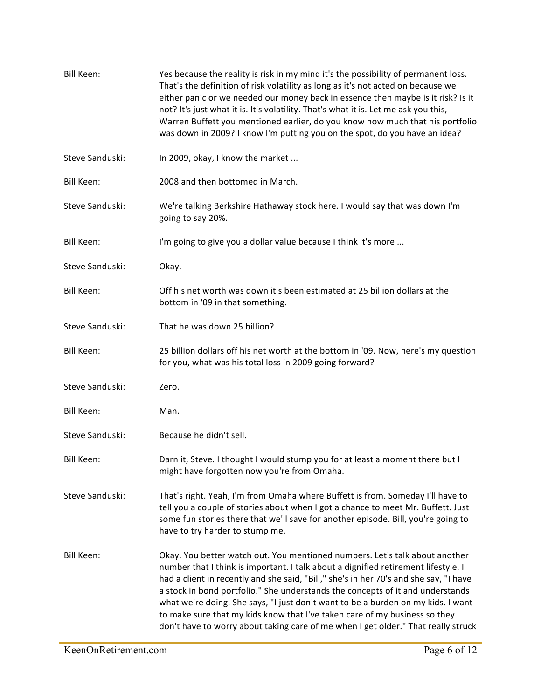| <b>Bill Keen:</b> | Yes because the reality is risk in my mind it's the possibility of permanent loss.<br>That's the definition of risk volatility as long as it's not acted on because we<br>either panic or we needed our money back in essence then maybe is it risk? Is it<br>not? It's just what it is. It's volatility. That's what it is. Let me ask you this,<br>Warren Buffett you mentioned earlier, do you know how much that his portfolio<br>was down in 2009? I know I'm putting you on the spot, do you have an idea?                                                                                    |
|-------------------|-----------------------------------------------------------------------------------------------------------------------------------------------------------------------------------------------------------------------------------------------------------------------------------------------------------------------------------------------------------------------------------------------------------------------------------------------------------------------------------------------------------------------------------------------------------------------------------------------------|
| Steve Sanduski:   | In 2009, okay, I know the market                                                                                                                                                                                                                                                                                                                                                                                                                                                                                                                                                                    |
| Bill Keen:        | 2008 and then bottomed in March.                                                                                                                                                                                                                                                                                                                                                                                                                                                                                                                                                                    |
| Steve Sanduski:   | We're talking Berkshire Hathaway stock here. I would say that was down I'm<br>going to say 20%.                                                                                                                                                                                                                                                                                                                                                                                                                                                                                                     |
| <b>Bill Keen:</b> | I'm going to give you a dollar value because I think it's more                                                                                                                                                                                                                                                                                                                                                                                                                                                                                                                                      |
| Steve Sanduski:   | Okay.                                                                                                                                                                                                                                                                                                                                                                                                                                                                                                                                                                                               |
| <b>Bill Keen:</b> | Off his net worth was down it's been estimated at 25 billion dollars at the<br>bottom in '09 in that something.                                                                                                                                                                                                                                                                                                                                                                                                                                                                                     |
| Steve Sanduski:   | That he was down 25 billion?                                                                                                                                                                                                                                                                                                                                                                                                                                                                                                                                                                        |
| Bill Keen:        | 25 billion dollars off his net worth at the bottom in '09. Now, here's my question<br>for you, what was his total loss in 2009 going forward?                                                                                                                                                                                                                                                                                                                                                                                                                                                       |
| Steve Sanduski:   | Zero.                                                                                                                                                                                                                                                                                                                                                                                                                                                                                                                                                                                               |
| Bill Keen:        | Man.                                                                                                                                                                                                                                                                                                                                                                                                                                                                                                                                                                                                |
| Steve Sanduski:   | Because he didn't sell.                                                                                                                                                                                                                                                                                                                                                                                                                                                                                                                                                                             |
| Bill Keen:        | Darn it, Steve. I thought I would stump you for at least a moment there but I<br>might have forgotten now you're from Omaha.                                                                                                                                                                                                                                                                                                                                                                                                                                                                        |
| Steve Sanduski:   | That's right. Yeah, I'm from Omaha where Buffett is from. Someday I'll have to<br>tell you a couple of stories about when I got a chance to meet Mr. Buffett. Just<br>some fun stories there that we'll save for another episode. Bill, you're going to<br>have to try harder to stump me.                                                                                                                                                                                                                                                                                                          |
| <b>Bill Keen:</b> | Okay. You better watch out. You mentioned numbers. Let's talk about another<br>number that I think is important. I talk about a dignified retirement lifestyle. I<br>had a client in recently and she said, "Bill," she's in her 70's and she say, "I have<br>a stock in bond portfolio." She understands the concepts of it and understands<br>what we're doing. She says, "I just don't want to be a burden on my kids. I want<br>to make sure that my kids know that I've taken care of my business so they<br>don't have to worry about taking care of me when I get older." That really struck |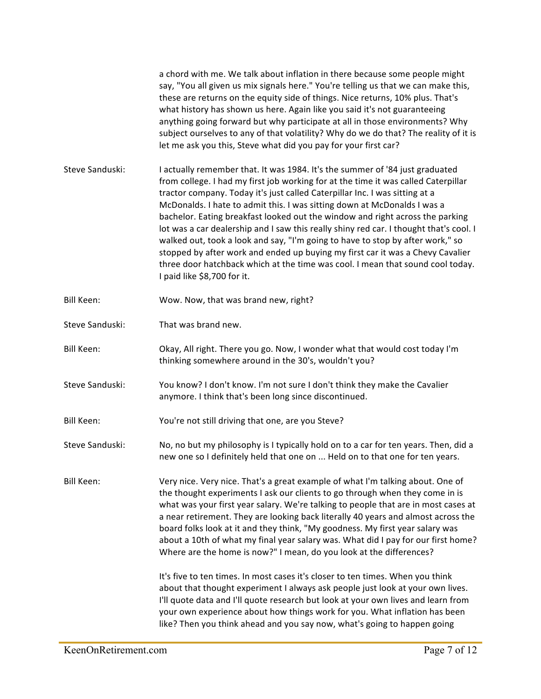|                   | a chord with me. We talk about inflation in there because some people might<br>say, "You all given us mix signals here." You're telling us that we can make this,<br>these are returns on the equity side of things. Nice returns, 10% plus. That's<br>what history has shown us here. Again like you said it's not guaranteeing<br>anything going forward but why participate at all in those environments? Why<br>subject ourselves to any of that volatility? Why do we do that? The reality of it is<br>let me ask you this, Steve what did you pay for your first car?                                                                                                                                                                                                                   |
|-------------------|-----------------------------------------------------------------------------------------------------------------------------------------------------------------------------------------------------------------------------------------------------------------------------------------------------------------------------------------------------------------------------------------------------------------------------------------------------------------------------------------------------------------------------------------------------------------------------------------------------------------------------------------------------------------------------------------------------------------------------------------------------------------------------------------------|
| Steve Sanduski:   | I actually remember that. It was 1984. It's the summer of '84 just graduated<br>from college. I had my first job working for at the time it was called Caterpillar<br>tractor company. Today it's just called Caterpillar Inc. I was sitting at a<br>McDonalds. I hate to admit this. I was sitting down at McDonalds I was a<br>bachelor. Eating breakfast looked out the window and right across the parking<br>lot was a car dealership and I saw this really shiny red car. I thought that's cool. I<br>walked out, took a look and say, "I'm going to have to stop by after work," so<br>stopped by after work and ended up buying my first car it was a Chevy Cavalier<br>three door hatchback which at the time was cool. I mean that sound cool today.<br>I paid like \$8,700 for it. |
| <b>Bill Keen:</b> | Wow. Now, that was brand new, right?                                                                                                                                                                                                                                                                                                                                                                                                                                                                                                                                                                                                                                                                                                                                                          |
| Steve Sanduski:   | That was brand new.                                                                                                                                                                                                                                                                                                                                                                                                                                                                                                                                                                                                                                                                                                                                                                           |
| Bill Keen:        | Okay, All right. There you go. Now, I wonder what that would cost today I'm<br>thinking somewhere around in the 30's, wouldn't you?                                                                                                                                                                                                                                                                                                                                                                                                                                                                                                                                                                                                                                                           |
| Steve Sanduski:   | You know? I don't know. I'm not sure I don't think they make the Cavalier<br>anymore. I think that's been long since discontinued.                                                                                                                                                                                                                                                                                                                                                                                                                                                                                                                                                                                                                                                            |
| <b>Bill Keen:</b> | You're not still driving that one, are you Steve?                                                                                                                                                                                                                                                                                                                                                                                                                                                                                                                                                                                                                                                                                                                                             |
| Steve Sanduski:   | No, no but my philosophy is I typically hold on to a car for ten years. Then, did a<br>new one so I definitely held that one on  Held on to that one for ten years.                                                                                                                                                                                                                                                                                                                                                                                                                                                                                                                                                                                                                           |
| Bill Keen:        | Very nice. Very nice. That's a great example of what I'm talking about. One of<br>the thought experiments I ask our clients to go through when they come in is<br>what was your first year salary. We're talking to people that are in most cases at<br>a near retirement. They are looking back literally 40 years and almost across the<br>board folks look at it and they think, "My goodness. My first year salary was<br>about a 10th of what my final year salary was. What did I pay for our first home?<br>Where are the home is now?" I mean, do you look at the differences?<br>It's five to ten times. In most cases it's closer to ten times. When you think                                                                                                                      |
|                   | about that thought experiment I always ask people just look at your own lives.<br>I'll quote data and I'll quote research but look at your own lives and learn from<br>your own experience about how things work for you. What inflation has been<br>like? Then you think ahead and you say now, what's going to happen going                                                                                                                                                                                                                                                                                                                                                                                                                                                                 |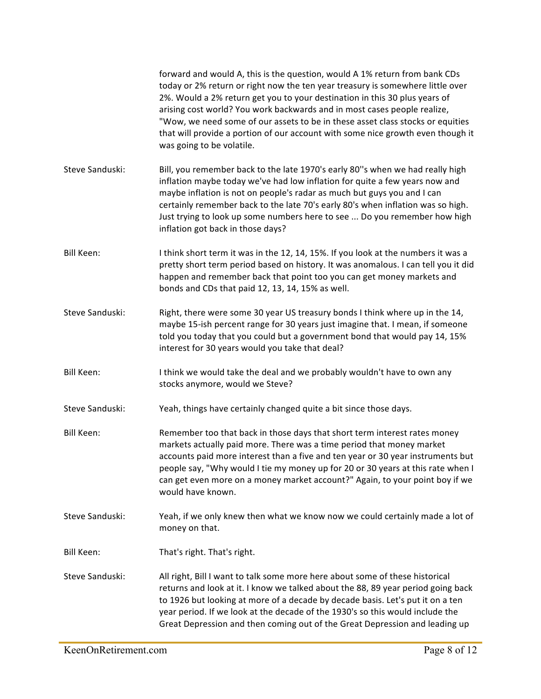|                   | forward and would A, this is the question, would A 1% return from bank CDs<br>today or 2% return or right now the ten year treasury is somewhere little over<br>2%. Would a 2% return get you to your destination in this 30 plus years of<br>arising cost world? You work backwards and in most cases people realize,<br>"Wow, we need some of our assets to be in these asset class stocks or equities<br>that will provide a portion of our account with some nice growth even though it<br>was going to be volatile. |
|-------------------|--------------------------------------------------------------------------------------------------------------------------------------------------------------------------------------------------------------------------------------------------------------------------------------------------------------------------------------------------------------------------------------------------------------------------------------------------------------------------------------------------------------------------|
| Steve Sanduski:   | Bill, you remember back to the late 1970's early 80"s when we had really high<br>inflation maybe today we've had low inflation for quite a few years now and<br>maybe inflation is not on people's radar as much but guys you and I can<br>certainly remember back to the late 70's early 80's when inflation was so high.<br>Just trying to look up some numbers here to see  Do you remember how high<br>inflation got back in those days?                                                                             |
| <b>Bill Keen:</b> | I think short term it was in the 12, 14, 15%. If you look at the numbers it was a<br>pretty short term period based on history. It was anomalous. I can tell you it did<br>happen and remember back that point too you can get money markets and<br>bonds and CDs that paid 12, 13, 14, 15% as well.                                                                                                                                                                                                                     |
| Steve Sanduski:   | Right, there were some 30 year US treasury bonds I think where up in the 14,<br>maybe 15-ish percent range for 30 years just imagine that. I mean, if someone<br>told you today that you could but a government bond that would pay 14, 15%<br>interest for 30 years would you take that deal?                                                                                                                                                                                                                           |
| <b>Bill Keen:</b> | I think we would take the deal and we probably wouldn't have to own any<br>stocks anymore, would we Steve?                                                                                                                                                                                                                                                                                                                                                                                                               |
| Steve Sanduski:   | Yeah, things have certainly changed quite a bit since those days.                                                                                                                                                                                                                                                                                                                                                                                                                                                        |
| Bill Keen:        | Remember too that back in those days that short term interest rates money<br>markets actually paid more. There was a time period that money market<br>accounts paid more interest than a five and ten year or 30 year instruments but<br>people say, "Why would I tie my money up for 20 or 30 years at this rate when I<br>can get even more on a money market account?" Again, to your point boy if we<br>would have known.                                                                                            |
| Steve Sanduski:   | Yeah, if we only knew then what we know now we could certainly made a lot of<br>money on that.                                                                                                                                                                                                                                                                                                                                                                                                                           |
| <b>Bill Keen:</b> | That's right. That's right.                                                                                                                                                                                                                                                                                                                                                                                                                                                                                              |
| Steve Sanduski:   | All right, Bill I want to talk some more here about some of these historical<br>returns and look at it. I know we talked about the 88, 89 year period going back<br>to 1926 but looking at more of a decade by decade basis. Let's put it on a ten<br>year period. If we look at the decade of the 1930's so this would include the<br>Great Depression and then coming out of the Great Depression and leading up                                                                                                       |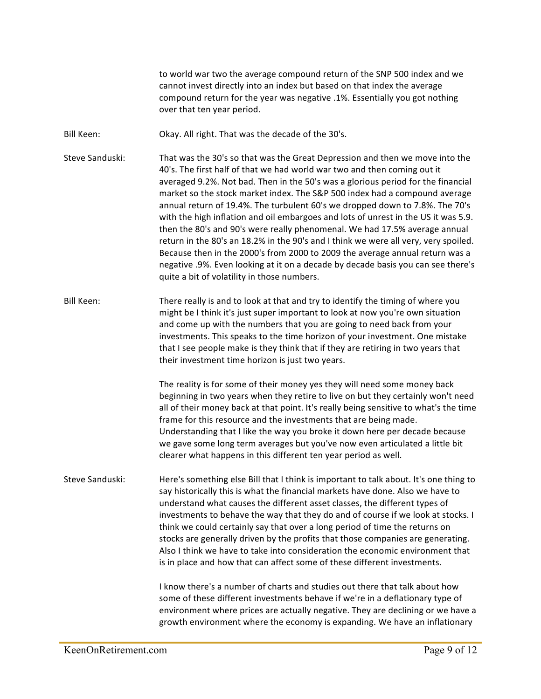to world war two the average compound return of the SNP 500 index and we cannot invest directly into an index but based on that index the average compound return for the year was negative .1%. Essentially you got nothing over that ten year period.

- Bill Keen: Okay. All right. That was the decade of the 30's.
- Steve Sanduski: That was the 30's so that was the Great Depression and then we move into the 40's. The first half of that we had world war two and then coming out it averaged 9.2%. Not bad. Then in the 50's was a glorious period for the financial market so the stock market index. The S&P 500 index had a compound average annual return of 19.4%. The turbulent 60's we dropped down to 7.8%. The 70's with the high inflation and oil embargoes and lots of unrest in the US it was 5.9. then the 80's and 90's were really phenomenal. We had 17.5% average annual return in the 80's an 18.2% in the 90's and I think we were all very, very spoiled. Because then in the 2000's from 2000 to 2009 the average annual return was a negative .9%. Even looking at it on a decade by decade basis you can see there's quite a bit of volatility in those numbers.
- Bill Keen: There really is and to look at that and try to identify the timing of where you might be I think it's just super important to look at now you're own situation and come up with the numbers that you are going to need back from your investments. This speaks to the time horizon of your investment. One mistake that I see people make is they think that if they are retiring in two years that their investment time horizon is just two years.

The reality is for some of their money yes they will need some money back beginning in two years when they retire to live on but they certainly won't need all of their money back at that point. It's really being sensitive to what's the time frame for this resource and the investments that are being made. Understanding that I like the way you broke it down here per decade because we gave some long term averages but you've now even articulated a little bit clearer what happens in this different ten year period as well.

Steve Sanduski: Here's something else Bill that I think is important to talk about. It's one thing to say historically this is what the financial markets have done. Also we have to understand what causes the different asset classes, the different types of investments to behave the way that they do and of course if we look at stocks. I think we could certainly say that over a long period of time the returns on stocks are generally driven by the profits that those companies are generating. Also I think we have to take into consideration the economic environment that is in place and how that can affect some of these different investments.

> I know there's a number of charts and studies out there that talk about how some of these different investments behave if we're in a deflationary type of environment where prices are actually negative. They are declining or we have a growth environment where the economy is expanding. We have an inflationary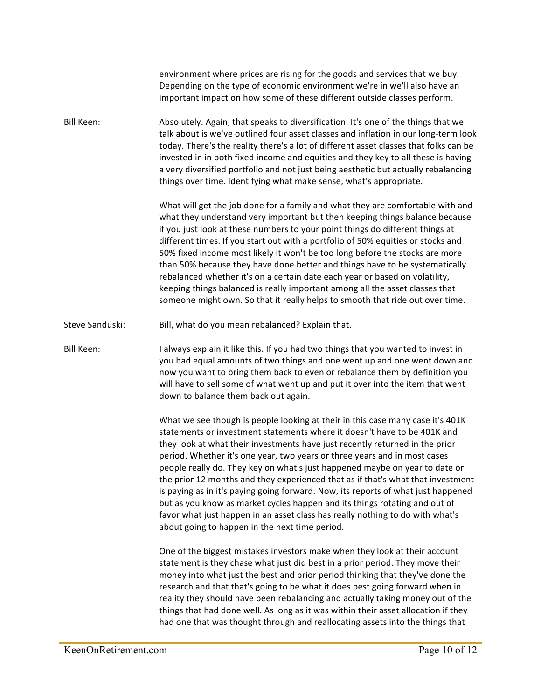|                   | environment where prices are rising for the goods and services that we buy.<br>Depending on the type of economic environment we're in we'll also have an<br>important impact on how some of these different outside classes perform.                                                                                                                                                                                                                                                                                                                                                                                                                                                                                                                                                            |
|-------------------|-------------------------------------------------------------------------------------------------------------------------------------------------------------------------------------------------------------------------------------------------------------------------------------------------------------------------------------------------------------------------------------------------------------------------------------------------------------------------------------------------------------------------------------------------------------------------------------------------------------------------------------------------------------------------------------------------------------------------------------------------------------------------------------------------|
| <b>Bill Keen:</b> | Absolutely. Again, that speaks to diversification. It's one of the things that we<br>talk about is we've outlined four asset classes and inflation in our long-term look<br>today. There's the reality there's a lot of different asset classes that folks can be<br>invested in in both fixed income and equities and they key to all these is having<br>a very diversified portfolio and not just being aesthetic but actually rebalancing<br>things over time. Identifying what make sense, what's appropriate.                                                                                                                                                                                                                                                                              |
|                   | What will get the job done for a family and what they are comfortable with and<br>what they understand very important but then keeping things balance because<br>if you just look at these numbers to your point things do different things at<br>different times. If you start out with a portfolio of 50% equities or stocks and<br>50% fixed income most likely it won't be too long before the stocks are more<br>than 50% because they have done better and things have to be systematically<br>rebalanced whether it's on a certain date each year or based on volatility,<br>keeping things balanced is really important among all the asset classes that<br>someone might own. So that it really helps to smooth that ride out over time.                                               |
| Steve Sanduski:   | Bill, what do you mean rebalanced? Explain that.                                                                                                                                                                                                                                                                                                                                                                                                                                                                                                                                                                                                                                                                                                                                                |
| <b>Bill Keen:</b> | I always explain it like this. If you had two things that you wanted to invest in<br>you had equal amounts of two things and one went up and one went down and<br>now you want to bring them back to even or rebalance them by definition you<br>will have to sell some of what went up and put it over into the item that went<br>down to balance them back out again.                                                                                                                                                                                                                                                                                                                                                                                                                         |
|                   | What we see though is people looking at their in this case many case it's 401K<br>statements or investment statements where it doesn't have to be 401K and<br>they look at what their investments have just recently returned in the prior<br>period. Whether it's one year, two years or three years and in most cases<br>people really do. They key on what's just happened maybe on year to date or<br>the prior 12 months and they experienced that as if that's what that investment<br>is paying as in it's paying going forward. Now, its reports of what just happened<br>but as you know as market cycles happen and its things rotating and out of<br>favor what just happen in an asset class has really nothing to do with what's<br>about going to happen in the next time period. |
|                   | One of the biggest mistakes investors make when they look at their account<br>statement is they chase what just did best in a prior period. They move their<br>money into what just the best and prior period thinking that they've done the<br>research and that that's going to be what it does best going forward when in<br>reality they should have been rebalancing and actually taking money out of the<br>things that had done well. As long as it was within their asset allocation if they<br>had one that was thought through and reallocating assets into the things that                                                                                                                                                                                                           |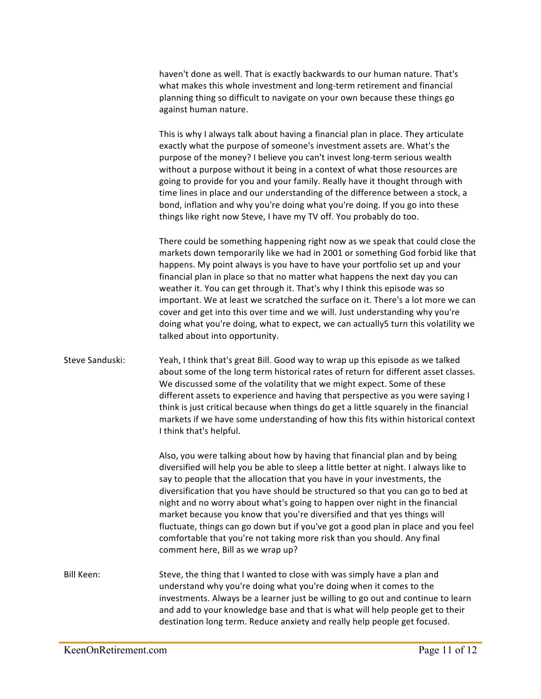haven't done as well. That is exactly backwards to our human nature. That's what makes this whole investment and long-term retirement and financial planning thing so difficult to navigate on your own because these things go against human nature.

This is why I always talk about having a financial plan in place. They articulate exactly what the purpose of someone's investment assets are. What's the purpose of the money? I believe you can't invest long-term serious wealth without a purpose without it being in a context of what those resources are going to provide for you and your family. Really have it thought through with time lines in place and our understanding of the difference between a stock, a bond, inflation and why you're doing what you're doing. If you go into these things like right now Steve, I have my TV off. You probably do too.

There could be something happening right now as we speak that could close the markets down temporarily like we had in 2001 or something God forbid like that happens. My point always is you have to have your portfolio set up and your financial plan in place so that no matter what happens the next day you can weather it. You can get through it. That's why I think this episode was so important. We at least we scratched the surface on it. There's a lot more we can cover and get into this over time and we will. Just understanding why you're doing what you're doing, what to expect, we can actually5 turn this volatility we talked about into opportunity.

Steve Sanduski: Yeah, I think that's great Bill. Good way to wrap up this episode as we talked about some of the long term historical rates of return for different asset classes. We discussed some of the volatility that we might expect. Some of these different assets to experience and having that perspective as you were saying I think is just critical because when things do get a little squarely in the financial markets if we have some understanding of how this fits within historical context I think that's helpful.

> Also, you were talking about how by having that financial plan and by being diversified will help you be able to sleep a little better at night. I always like to say to people that the allocation that you have in your investments, the diversification that you have should be structured so that you can go to bed at night and no worry about what's going to happen over night in the financial market because you know that you're diversified and that yes things will fluctuate, things can go down but if you've got a good plan in place and you feel comfortable that you're not taking more risk than you should. Any final comment here, Bill as we wrap up?

Bill Keen: Steve, the thing that I wanted to close with was simply have a plan and understand why you're doing what you're doing when it comes to the investments. Always be a learner just be willing to go out and continue to learn and add to your knowledge base and that is what will help people get to their destination long term. Reduce anxiety and really help people get focused.